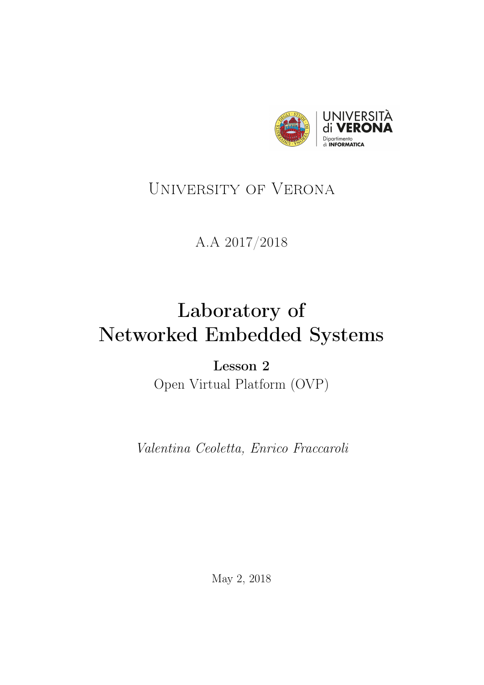

# <span id="page-0-0"></span>University of Verona

## A.A 2017/2018

# Laboratory of Networked Embedded Systems

Lesson 2 Open Virtual Platform (OVP)

Valentina Ceoletta, Enrico Fraccaroli

May 2, 2018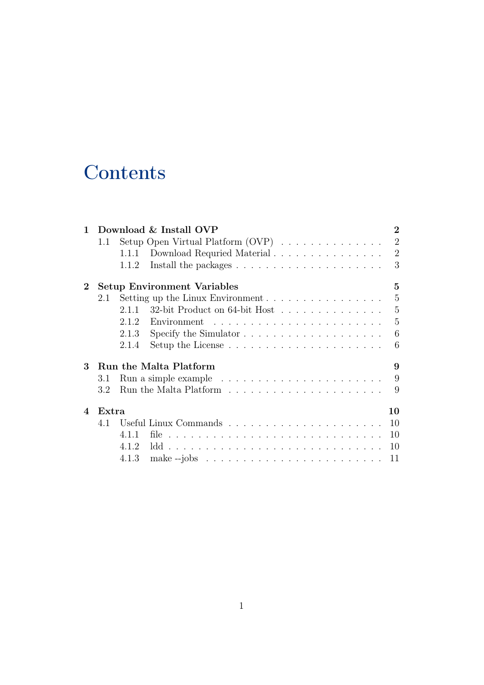# **Contents**

|                        | Download & Install OVP                  |                                                                                        |                |  |
|------------------------|-----------------------------------------|----------------------------------------------------------------------------------------|----------------|--|
|                        | 1.1                                     | Setup Open Virtual Platform (OVP) $\dots \dots \dots \dots$                            | $\overline{2}$ |  |
|                        |                                         | Download Requried Material $\ldots \ldots \ldots \ldots \ldots$<br>1.1.1               | $\overline{2}$ |  |
|                        |                                         | 1.1.2                                                                                  | 3              |  |
| $\mathbf 2$            | <b>Setup Environment Variables</b><br>5 |                                                                                        |                |  |
|                        | 2.1                                     | Setting up the Linux Environment $\ldots \ldots \ldots \ldots \ldots$                  | 5              |  |
|                        |                                         | 32-bit Product on 64-bit Host<br>2.1.1                                                 | 5              |  |
|                        |                                         | 2.1.2                                                                                  | 5              |  |
|                        |                                         | Specify the Simulator $\dots \dots \dots \dots \dots \dots \dots$<br>2.1.3             | 6              |  |
|                        |                                         | Setup the License $\ldots \ldots \ldots \ldots \ldots \ldots \ldots$<br>2.1.4          | 6              |  |
| 3                      | <b>Run the Malta Platform</b><br>9      |                                                                                        |                |  |
|                        | 3.1                                     |                                                                                        | 9              |  |
|                        | 3.2                                     |                                                                                        | 9              |  |
| $\boldsymbol{\Lambda}$ | Extra                                   | 10                                                                                     |                |  |
|                        | 4.1                                     | 10                                                                                     |                |  |
|                        |                                         | 10<br>4.1.1                                                                            |                |  |
|                        |                                         | 4.1.2<br>10                                                                            |                |  |
|                        |                                         | 4.1.3<br>make $-i$ obs $\ldots \ldots \ldots \ldots \ldots \ldots \ldots \ldots$<br>11 |                |  |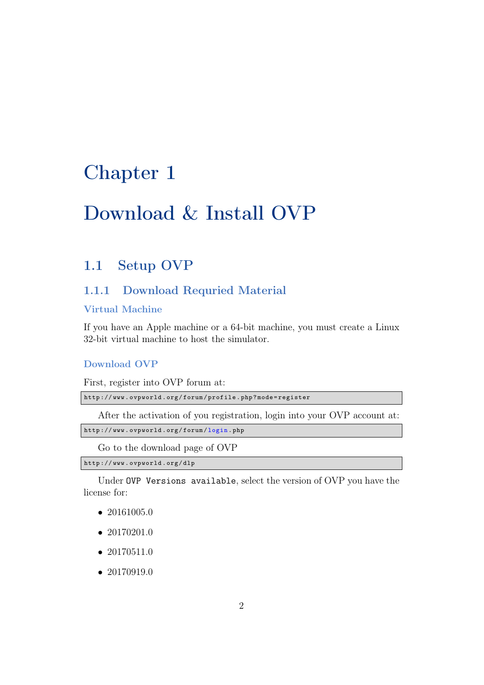# <span id="page-2-0"></span>Download & Install OVP

## <span id="page-2-1"></span>1.1 Setup [OVP](#page-0-0)

## <span id="page-2-2"></span>1.1.1 Download Requried Material

## Virtual Machine

If you have an Apple machine or a 64-bit machine, you must create a Linux 32-bit virtual machine to host the simulator.

## Download [OVP](#page-0-0)

First, register into OVP forum at:

```
http :// www . ovpworld . org / forum / profile . php ? mode = register
```
After the activation of you registration, login into your OVP account at:

```
http :// www . ovpworld . org / forum / login . php
```
Go to the download page of OVP

http :// www . ovpworld . org / dlp

Under OVP Versions available, select the version of OVP you have the license for:

- 20161005.0
- 20170201.0
- 20170511.0
- 20170919.0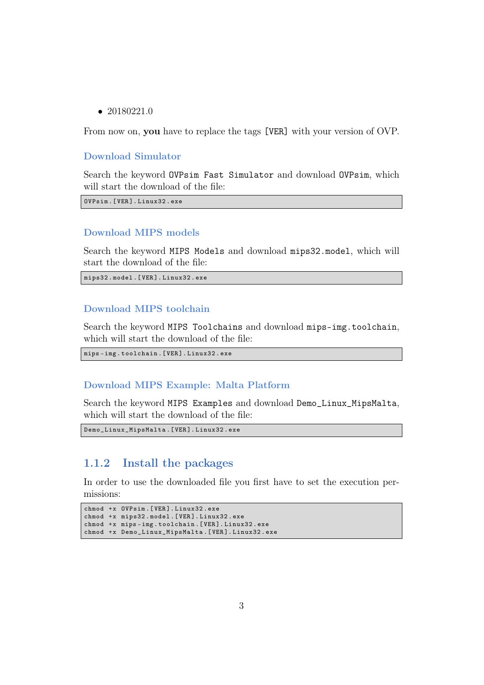• 20180221.0

From now on, you have to replace the tags [VER] with your version of OVP.

## Download Simulator

Search the keyword OVPsim Fast Simulator and download OVPsim, which will start the download of the file:

OVPsim .[ VER ]. Linux32 . exe

## Download MIPS models

Search the keyword MIPS Models and download mips32.model, which will start the download of the file:

mips32 . model .[ VER ]. Linux32 . exe

## Download MIPS toolchain

Search the keyword MIPS Toolchains and download mips-img.toolchain, which will start the download of the file:

```
mips - img . toolchain .[ VER ]. Linux32 . exe
```
### Download MIPS Example: Malta Platform

Search the keyword MIPS Examples and download Demo\_Linux\_MipsMalta, which will start the download of the file:

```
Demo_Linux_MipsMalta .[ VER ]. Linux32 . exe
```
## <span id="page-3-0"></span>1.1.2 Install the packages

In order to use the downloaded file you first have to set the execution permissions:

```
chmod +x OVPsim .[ VER ]. Linux32 . exe
chmod +x mips32 . model .[ VER ]. Linux32 . exe
chmod +x mips - img . toolchain .[ VER ]. Linux32 . exe
chmod +x Demo_Linux_MipsMalta .[ VER ]. Linux32 . exe
```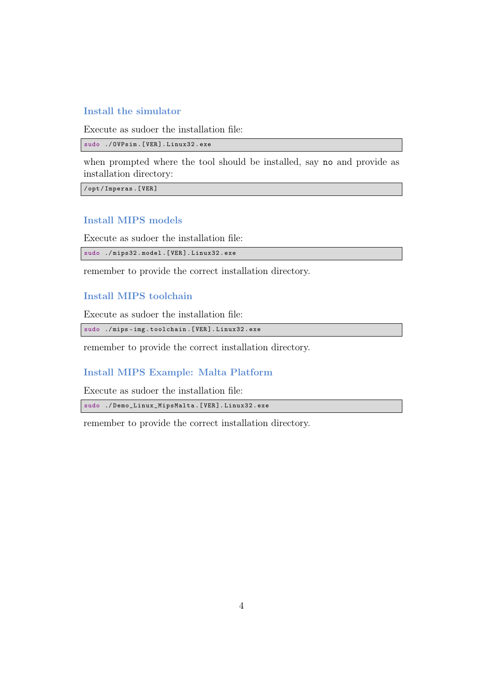## Install the simulator

Execute as sudoer the installation file:

sudo ./ OVPsim .[ VER ]. Linux32 . exe

when prompted where the tool should be installed, say no and provide as installation directory:

/ opt / Imperas .[ VER ]

## Install MIPS models

Execute as sudoer the installation file:

sudo ./ mips32 . model .[ VER ]. Linux32 . exe

remember to provide the correct installation directory.

## Install MIPS toolchain

Execute as sudoer the installation file:

sudo ./ mips - img . toolchain .[ VER ]. Linux32 . exe

remember to provide the correct installation directory.

## Install MIPS Example: Malta Platform

Execute as sudoer the installation file:

sudo ./ Demo\_Linux\_MipsMalta .[ VER ]. Linux32 . exe

remember to provide the correct installation directory.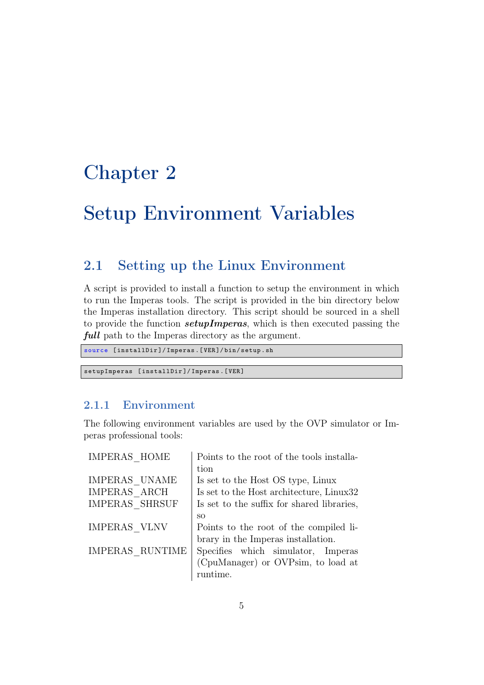# <span id="page-5-0"></span>Setup Environment Variables

## <span id="page-5-1"></span>2.1 Setting up the Linux Environment

A script is provided to install a function to setup the environment in which to run the Imperas tools. The script is provided in the bin directory below the Imperas installation directory. This script should be sourced in a shell to provide the function **setupImperas**, which is then executed passing the full path to the Imperas directory as the argument.

```
source [installDir]/Imperas.[VER]/bin/setup.sh
```
setupImperas [ installDir ]/ Imperas .[ VER ]

## <span id="page-5-2"></span>2.1.1 Environment

The following environment variables are used by the OVP simulator or Imperas professional tools:

| IMPERAS HOME    | Points to the root of the tools installa-  |
|-----------------|--------------------------------------------|
|                 | tion                                       |
| IMPERAS UNAME   | Is set to the Host OS type, Linux          |
| IMPERAS ARCH    | Is set to the Host architecture, Linux32   |
| IMPERAS SHRSUF  | Is set to the suffix for shared libraries, |
|                 | SO.                                        |
| IMPERAS VLNV    | Points to the root of the compiled li-     |
|                 | brary in the Imperas installation.         |
| IMPERAS RUNTIME | Specifies which simulator, Imperas         |
|                 | (CpuManager) or OVPsim, to load at         |
|                 | runtime.                                   |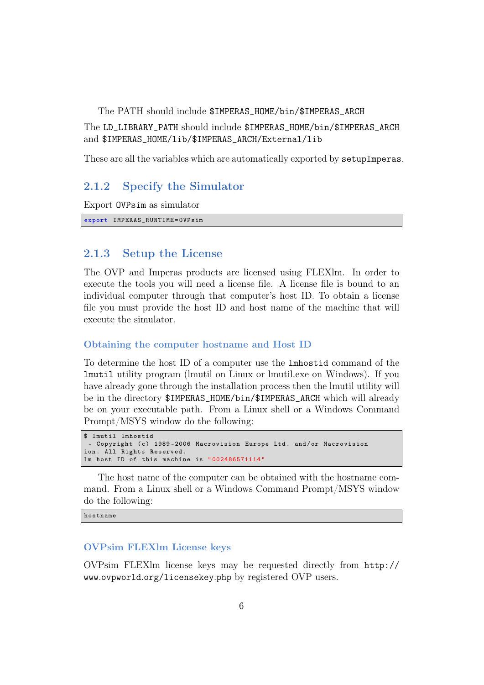The PATH should include \$IMPERAS\_HOME/bin/\$IMPERAS\_ARCH

The LD\_LIBRARY\_PATH should include \$IMPERAS\_HOME/bin/\$IMPERAS\_ARCH and \$IMPERAS\_HOME/lib/\$IMPERAS\_ARCH/External/lib

These are all the variables which are automatically exported by setupImperas.

## <span id="page-6-0"></span>2.1.2 Specify the Simulator

Export OVPsim as simulator

```
export IMPERAS_RUNTIME = OVPsim
```
## <span id="page-6-1"></span>2.1.3 Setup the License

The OVP and Imperas products are licensed using FLEXlm. In order to execute the tools you will need a license file. A license file is bound to an individual computer through that computer's host ID. To obtain a license file you must provide the host ID and host name of the machine that will execute the simulator.

#### Obtaining the computer hostname and Host ID

To determine the host ID of a computer use the lmhostid command of the lmutil utility program (lmutil on Linux or lmutil.exe on Windows). If you have already gone through the installation process then the lmutil utility will be in the directory \$IMPERAS\_HOME/bin/\$IMPERAS\_ARCH which will already be on your executable path. From a Linux shell or a Windows Command Prompt/MSYS window do the following:

```
$ lmutil lmhostid
 - Copyright (c) 1989-2006 Macrovision Europe Ltd. and/or Macrovision
ion. All Rights Reserved.
lm host ID of this machine is " 002486571114 "
```
The host name of the computer can be obtained with the hostname command. From a Linux shell or a Windows Command Prompt/MSYS window do the following:

hostname

### OVPsim FLEXlm License keys

OVPsim FLEXlm license keys may be requested directly from [http://](http://www.ovpworld.org/licensekey.php) www.ovpworld.[org/licensekey](http://www.ovpworld.org/licensekey.php).php by registered OVP users.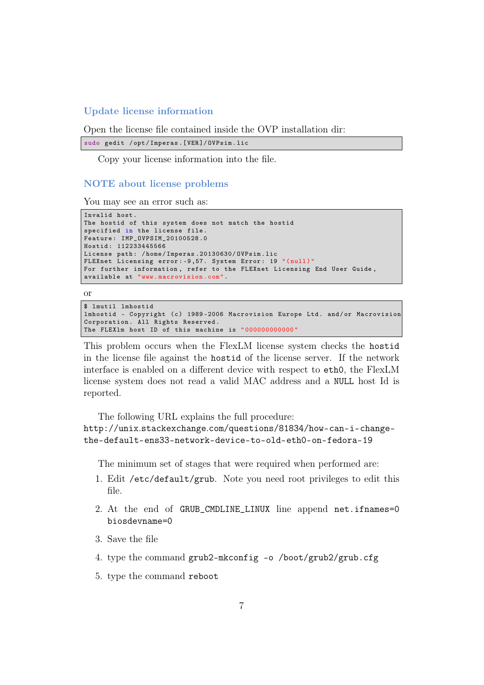#### Update license information

Open the license file contained inside the OVP installation dir:

```
sudo gedit / opt/Imperas. [VER]/OVPsim.lic
```
Copy your license information into the file.

### NOTE about license problems

You may see an error such as:

```
Invalid host .
The hostid of this system does not match the hostid
specified in the license file .
Feature : IMP_OVPSIM_20100528 .0
Hostid : 112233445566
License path: /home/Imperas.20130630/OVPsim.lic
FLEXnet Licensing error: -9,57. System Error: 19 "(null)"
For further information , refer to the FLEXnet Licensing End User Guide ,
available at " www . macrovision . com ".
```
or

```
$ lmutil lmhostid
lmhostid - Copyright (c) 1989-2006 Macrovision Europe Ltd. and/or Macrovision
Corporation. All Rights Reserved.
The FLEX1m host ID of this machine is "00000000000000000
```
This problem occurs when the FlexLM license system checks the hostid in the license file against the hostid of the license server. If the network interface is enabled on a different device with respect to eth0, the FlexLM license system does not read a valid MAC address and a NULL host Id is reported.

The following URL explains the full procedure:

http://unix.stackexchange.[com/questions/81834/how-can-i-change](http://unix.stackexchange.com/questions/81834/how-can-i-change- the-default-ens33-network-device-to-old-eth0-on-fedora-19)[the-default-ens33-network-device-to-old-eth0-on-fedora-19](http://unix.stackexchange.com/questions/81834/how-can-i-change- the-default-ens33-network-device-to-old-eth0-on-fedora-19)

The minimum set of stages that were required when performed are:

- 1. Edit /etc/default/grub. Note you need root privileges to edit this file.
- 2. At the end of GRUB\_CMDLINE\_LINUX line append net.ifnames=0 biosdevname=0
- 3. Save the file
- 4. type the command grub2-mkconfig -o /boot/grub2/grub.cfg
- 5. type the command reboot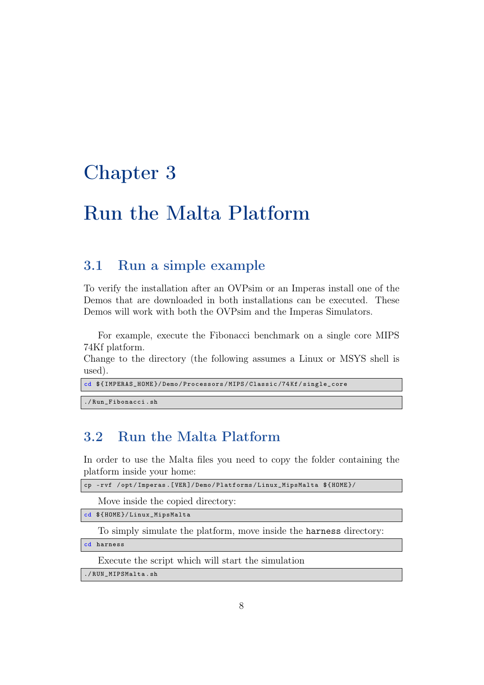# <span id="page-8-0"></span>Run the Malta Platform

## <span id="page-8-1"></span>3.1 Run a simple example

To verify the installation after an OVPsim or an Imperas install one of the Demos that are downloaded in both installations can be executed. These Demos will work with both the OVPsim and the Imperas Simulators.

For example, execute the Fibonacci benchmark on a single core MIPS 74Kf platform.

Change to the directory (the following assumes a Linux or MSYS shell is used).

```
cd ${ IMPERAS_HOME }/ Demo / Processors / MIPS / Classic /74 Kf / single_core
```
./ Run\_Fibonacci . sh

## <span id="page-8-2"></span>3.2 Run the Malta Platform

In order to use the Malta files you need to copy the folder containing the platform inside your home:

cp - rvf / opt / Imperas .[ VER ]/ Demo / Platforms / Linux\_MipsMalta \${ HOME }/

Move inside the copied directory:

cd \${ HOME }/ Linux\_MipsMalta

To simply simulate the platform, move inside the harness directory:

cd harness

Execute the script which will start the simulation

./ RUN\_MIPSMalta . sh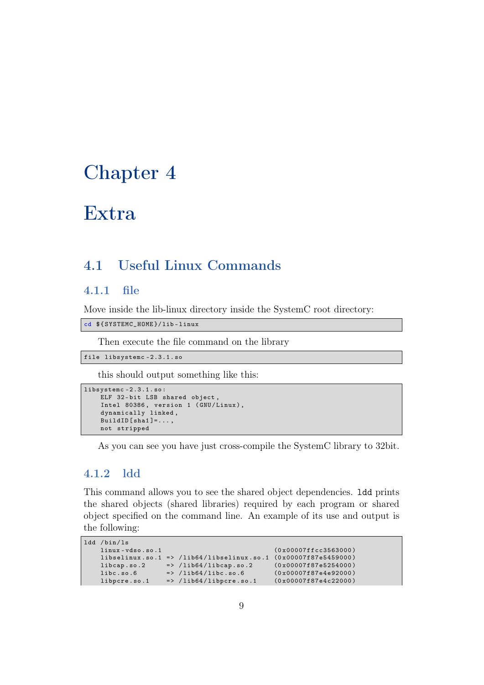# <span id="page-9-0"></span>Extra

## <span id="page-9-1"></span>4.1 Useful Linux Commands

## <span id="page-9-2"></span>4.1.1 file

Move inside the lib-linux directory inside the SystemC root directory:

cd \${ SYSTEMC\_HOME }/ lib - linux

Then execute the file command on the library

file libsystemc -2.3.1. so

this should output something like this:

```
libsystemc -2.3.1. so :
    .<br>ELF 32-bit LSB shared object,
    Intel 80386, version 1 (GNU/Linux),
    dynamically linked ,
    BuidID [sha1] = . . . ,not stripped
```
As you can see you have just cross-compile the SystemC library to 32bit.

## <span id="page-9-3"></span>4.1.2 ldd

This command allows you to see the shared object dependencies. ldd prints the shared objects (shared libraries) required by each program or shared object specified on the command line. An example of its use and output is the following:

```
ldd /bin/ls<br>linux-vdso.so.1
                                                          (0x00007ffcc3563000)libselinux.so.1 => /lib64/libselinux.so.1 (0x00007f87e5459000)<br>libcap.so.2 => /lib64/libcap.so.2 (0x00007f87e5254000)libcap . so .2 => / lib64 / libcap . so .2 (0 x00007f87e5254000 )
     libc . so .6 => / lib64 / libc . so .6 (0 x00007f87e4e92000 )
     libpcre . so .1 => / lib64 / libpcre . so .1 (0 x00007f87e4c22000 )
```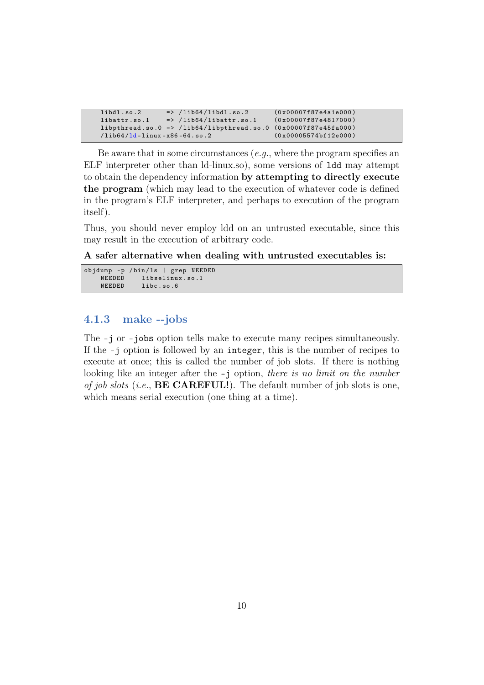```
libd1.so.2 => /lib64/libd1.so.2 (0x00007f87e4a1e000)
libattr.so.1 = > /lib64/libattr.so.1 (0x00007f87e4817000)
libphtread.so.0 => /lib64/libpthread.so.0 (0x00007f87e45fa000)/lib64/ld-linux-x86-64.so.2 (0x00005574bf12e000)/lib64/ld - linux - x86 - 64. so.2
```
Be aware that in some circumstances  $(e.g.,\)$  where the program specifies an ELF interpreter other than ld-linux.so), some versions of ldd may attempt to obtain the dependency information by attempting to directly execute the program (which may lead to the execution of whatever code is defined in the program's ELF interpreter, and perhaps to execution of the program itself).

Thus, you should never employ ldd on an untrusted executable, since this may result in the execution of arbitrary code.

A safer alternative when dealing with untrusted executables is:

```
objdump -p / bin / ls | grep NEEDED
     NEEDED libselinux.so.1<br>NEEDED libc.so.6
                  libc.so.6
```
## <span id="page-10-0"></span>4.1.3 make --jobs

The -j or –jobs option tells make to execute many recipes simultaneously. If the -j option is followed by an integer, this is the number of recipes to execute at once; this is called the number of job slots. If there is nothing looking like an integer after the  $-$ j option, there is no limit on the number of job slots (i.e.,  $\bf BE\thinspace CARE FULL!)$ . The default number of job slots is one, which means serial execution (one thing at a time).